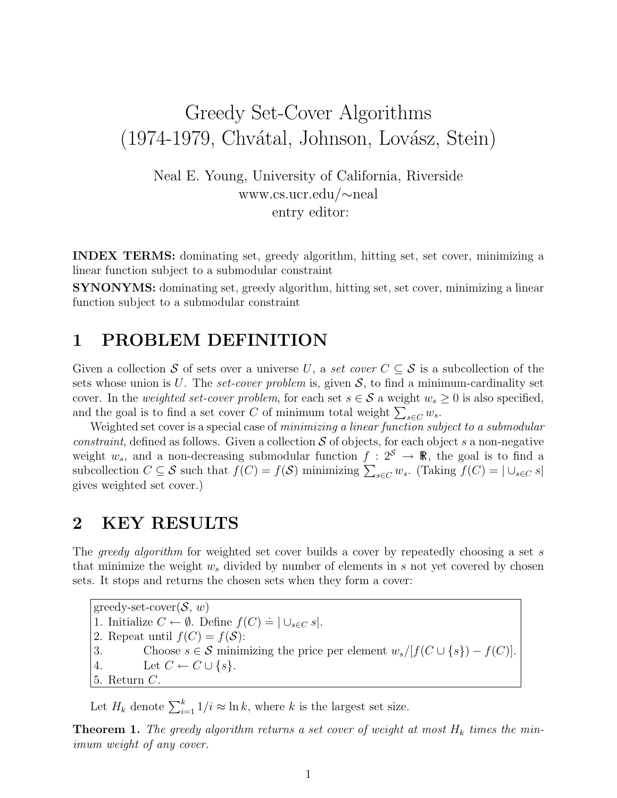# Greedy Set-Cover Algorithms (1974-1979, Chvátal, Johnson, Lovász, Stein)

Neal E. Young, University of California, Riverside www.cs.ucr.edu/∼neal entry editor:

INDEX TERMS: dominating set, greedy algorithm, hitting set, set cover, minimizing a linear function subject to a submodular constraint

SYNONYMS: dominating set, greedy algorithm, hitting set, set cover, minimizing a linear function subject to a submodular constraint

#### 1 PROBLEM DEFINITION

Given a collection S of sets over a universe U, a set cover  $C \subseteq S$  is a subcollection of the sets whose union is U. The set-cover problem is, given  $S$ , to find a minimum-cardinality set cover. In the *weighted set-cover problem*, for each set  $s \in S$  a weight  $w_s \geq 0$  is also specified, and the goal is to find a set cover C of minimum total weight  $\sum_{s \in C} w_s$ .

Weighted set cover is a special case of minimizing a linear function subject to a submodular *constraint*, defined as follows. Given a collection  $S$  of objects, for each object s a non-negative weight  $w_s$ , and a non-decreasing submodular function  $f: 2^S \rightarrow \mathbb{R}$ , the goal is to find a subcollection  $C \subseteq S$  such that  $f(C) = f(S)$  minimizing  $\sum_{s \in C} w_s$ . (Taking  $f(C) = |\bigcup_{s \in C} s|$ gives weighted set cover.)

#### 2 KEY RESULTS

The *greedy algorithm* for weighted set cover builds a cover by repeatedly choosing a set s that minimize the weight  $w_s$  divided by number of elements in s not yet covered by chosen sets. It stops and returns the chosen sets when they form a cover:

greedy-set-cover $(\mathcal{S}, w)$ 1. Initialize  $C \leftarrow \emptyset$ . Define  $f(C) \doteq |\cup_{s \in C} s|$ . 2. Repeat until  $f(C) = f(\mathcal{S})$ : 3. Choose  $s \in \mathcal{S}$  minimizing the price per element  $w_s/[f(C \cup \{s\}) - f(C)].$ 4. Let  $C \leftarrow C \cup \{s\}.$ 5. Return C.

Let  $H_k$  denote  $\sum_{i=1}^k 1/i \approx \ln k$ , where k is the largest set size.

**Theorem 1.** The greedy algorithm returns a set cover of weight at most  $H_k$  times the minimum weight of any cover.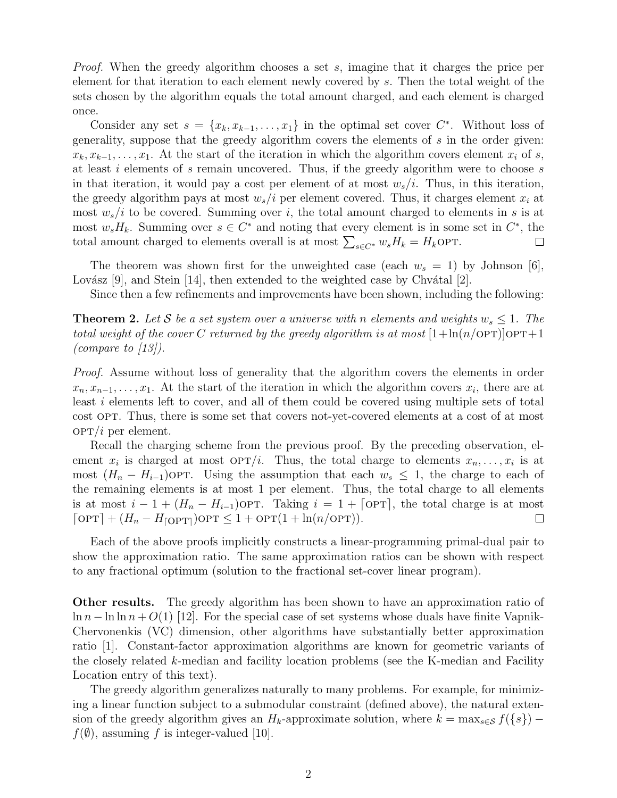*Proof.* When the greedy algorithm chooses a set s, imagine that it charges the price per element for that iteration to each element newly covered by s. Then the total weight of the sets chosen by the algorithm equals the total amount charged, and each element is charged once.

Consider any set  $s = \{x_k, x_{k-1}, \ldots, x_1\}$  in the optimal set cover  $C^*$ . Without loss of generality, suppose that the greedy algorithm covers the elements of s in the order given:  $x_k, x_{k-1}, \ldots, x_1$ . At the start of the iteration in which the algorithm covers element  $x_i$  of s, at least i elements of s remain uncovered. Thus, if the greedy algorithm were to choose s in that iteration, it would pay a cost per element of at most  $w_s/i$ . Thus, in this iteration, the greedy algorithm pays at most  $w_s/i$  per element covered. Thus, it charges element  $x_i$  at most  $w_s/i$  to be covered. Summing over i, the total amount charged to elements in s is at most  $w_s H_k$ . Summing over  $s \in C^*$  and noting that every element is in some set in  $C^*$ , the total amount charged to elements overall is at most  $\sum_{s \in C^*} w_s H_k = H_k$ OPT.  $\Box$ 

The theorem was shown first for the unweighted case (each  $w_s = 1$ ) by Johnson [6], Lovász [9], and Stein [14], then extended to the weighted case by Chvátal [2].

Since then a few refinements and improvements have been shown, including the following:

**Theorem 2.** Let S be a set system over a universe with n elements and weights  $w_s \leq 1$ . The total weight of the cover C returned by the greedy algorithm is at most  $[1+\ln(n/\text{OPT})]$ OPT $+1$ (compare to  $\langle 13 \rangle$ ).

Proof. Assume without loss of generality that the algorithm covers the elements in order  $x_n, x_{n-1}, \ldots, x_1$ . At the start of the iteration in which the algorithm covers  $x_i$ , there are at least i elements left to cover, and all of them could be covered using multiple sets of total cost OPT. Thus, there is some set that covers not-yet-covered elements at a cost of at most  $OPT/i$  per element.

Recall the charging scheme from the previous proof. By the preceding observation, element  $x_i$  is charged at most  $\text{OPT}/i$ . Thus, the total charge to elements  $x_n, \ldots, x_i$  is at most  $(H_n - H_{i-1})$ OPT. Using the assumption that each  $w_s \leq 1$ , the charge to each of the remaining elements is at most 1 per element. Thus, the total charge to all elements is at most  $i - 1 + (H_n - H_{i-1})$ OPT. Taking  $i = 1 + \lceil$ OPT, the total charge is at most  $\lceil \text{OPT} \rceil + (H_n - H_{\lceil \text{OPT} \rceil})\text{OPT} \leq 1 + \text{OPT}(1 + \ln(n/\text{OPT})).$  $\Box$ 

Each of the above proofs implicitly constructs a linear-programming primal-dual pair to show the approximation ratio. The same approximation ratios can be shown with respect to any fractional optimum (solution to the fractional set-cover linear program).

Other results. The greedy algorithm has been shown to have an approximation ratio of  $\ln n - \ln \ln n + O(1)$  [12]. For the special case of set systems whose duals have finite Vapnik-Chervonenkis (VC) dimension, other algorithms have substantially better approximation ratio [1]. Constant-factor approximation algorithms are known for geometric variants of the closely related k-median and facility location problems (see the K-median and Facility Location entry of this text).

The greedy algorithm generalizes naturally to many problems. For example, for minimizing a linear function subject to a submodular constraint (defined above), the natural extension of the greedy algorithm gives an  $H_k$ -approximate solution, where  $k = \max_{s \in \mathcal{S}} f(\{s\})$  –  $f(\emptyset)$ , assuming f is integer-valued [10].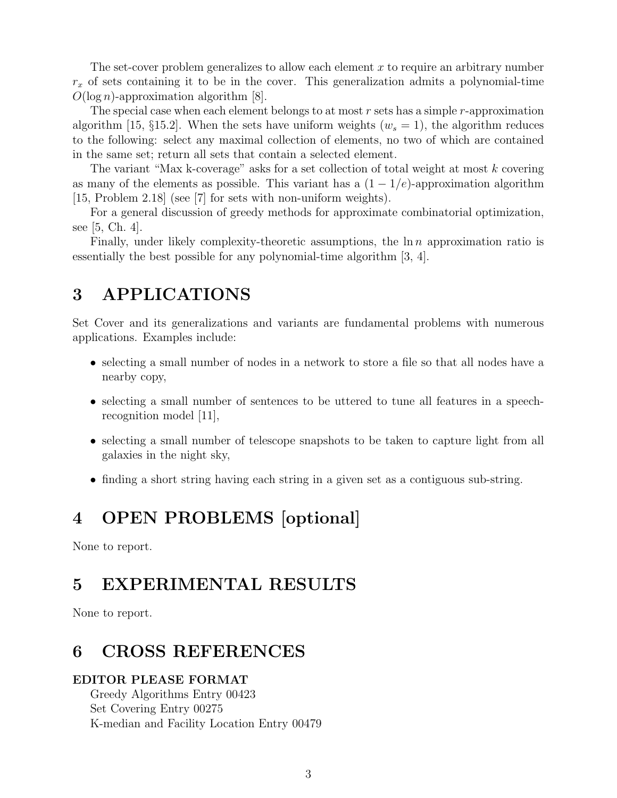The set-cover problem generalizes to allow each element  $x$  to require an arbitrary number  $r<sub>x</sub>$  of sets containing it to be in the cover. This generalization admits a polynomial-time  $O(\log n)$ -approximation algorithm [8].

The special case when each element belongs to at most  $r$  sets has a simple  $r$ -approximation algorithm [15,  $\S$ 15.2]. When the sets have uniform weights ( $w_s = 1$ ), the algorithm reduces to the following: select any maximal collection of elements, no two of which are contained in the same set; return all sets that contain a selected element.

The variant "Max k-coverage" asks for a set collection of total weight at most k covering as many of the elements as possible. This variant has a  $(1 - 1/e)$ -approximation algorithm [15, Problem 2.18] (see [7] for sets with non-uniform weights).

For a general discussion of greedy methods for approximate combinatorial optimization, see [5, Ch. 4].

Finally, under likely complexity-theoretic assumptions, the  $\ln n$  approximation ratio is essentially the best possible for any polynomial-time algorithm [3, 4].

# 3 APPLICATIONS

Set Cover and its generalizations and variants are fundamental problems with numerous applications. Examples include:

- selecting a small number of nodes in a network to store a file so that all nodes have a nearby copy,
- selecting a small number of sentences to be uttered to tune all features in a speechrecognition model [11],
- selecting a small number of telescope snapshots to be taken to capture light from all galaxies in the night sky,
- finding a short string having each string in a given set as a contiguous sub-string.

# 4 OPEN PROBLEMS [optional]

None to report.

## 5 EXPERIMENTAL RESULTS

None to report.

# 6 CROSS REFERENCES

#### EDITOR PLEASE FORMAT

Greedy Algorithms Entry 00423 Set Covering Entry 00275 K-median and Facility Location Entry 00479